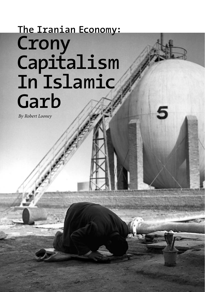# **Crony Capitalism In Islamic Garb The Iranian Economy:**

*By Robert Looney*

**28 The Milken Institute Review**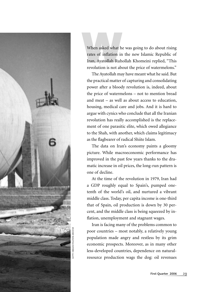

When asked what he was going to do about rising<br>rates of inflation in the new Islamic Republic of<br>Iran, Ayatollah Ruhollah Khomeini replied, "This<br>revolution is not about the price of watermelons." rates of inflation in the new Islamic Republic of Iran, Ayatollah Ruhollah Khomeini replied, "This revolution is not about the price of watermelons."

The Ayatollah may have meant what he said. But the practical matter of capturing and consolidating power after a bloody revolution is, indeed, about the price of watermelons – not to mention bread and meat – as well as about access to education, housing, medical care and jobs. And it is hard to argue with cynics who conclude that all the Iranian revolution has really accomplished is the replacement of one parasitic elite, which owed allegiance to the Shah, with another, which claims legitimacy as the flagbearer of radical Shiite Islam.

The data on Iran's economy paints a gloomy picture. While macroeconomic performance has improved in the past few years thanks to the dramatic increase in oil prices, the long-run pattern is one of decline.

At the time of the revolution in 1979, Iran had a GDP roughly equal to Spain's, pumped onetenth of the world's oil, and nurtured a vibrant middle class. Today, per capita income is one-third that of Spain, oil production is down by 30 percent, and the middle class is being squeezed by inflation, unemployment and stagnant wages.

Iran is facing many of the problems common to poor countries – most notably, a relatively young population made angry and restless by its grim economic prospects. Moreover, as in many other less-developed countries, dependence on naturalresource production wags the dog: oil revenues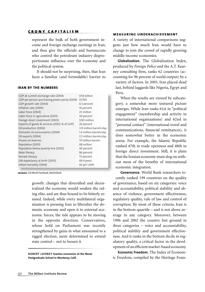represent the bulk of both government income and foreign exchange earnings in Iran, and thus give the officials and bureaucrats who control the petroleum industry disproportionate influence over the economy and the political system.

It should not be surprising, then, that Iran faces a familiar (and formidable) barrier to

### **IRAN BY THE NUMBERS**

| GDP at current exchange rate (2004)            |  | \$154 billion           |  |
|------------------------------------------------|--|-------------------------|--|
| GDP per person, purchasing power parity (2004) |  | \$7,700                 |  |
| GDP growth rate (2004)                         |  | 6.3 percent             |  |
| Inflation rate (2004)                          |  | 16 percent              |  |
| Labor force (2004)                             |  | 23 million              |  |
| Labor force in agriculture (2001)              |  | 30 percent              |  |
| Foreign direct investment (2003)               |  | \$120 million           |  |
| Exports of goods & services (2003, % of GDP)   |  | 24 percent              |  |
| Oil production (2004)                          |  | 3.9 million barrels/day |  |
| Domestic oil consumption (2004)                |  | 1.4 million barrels/day |  |
| Oil exports (2004)                             |  | 2.5 million barrels/day |  |
| Proven oil reserves                            |  | 131 billion barrels     |  |
| Population (2005)                              |  | 68 million              |  |
| Population below poverty line (2002)           |  | 40 percent              |  |
| Male literacy                                  |  | 86 percent              |  |
| Female literacy                                |  | 73 percent              |  |
| Life expectancy at birth (2003)                |  | 69.4 years              |  |
| Infant mortality (2004)                        |  | 42 per 1,000            |  |
|                                                |  |                         |  |

**sources:** CIA World Factbook, World Bank

growth: changes that diversified and decentralized the economy would weaken the ruling elite, and are thus bound to be bitterly resisted. Indeed, while every multilateral organization is pressing Iran to liberalize the domestic economy and open it to external economic forces, the tide appears to be moving in the opposite direction. Conservatives, whose hold on Parliament was recently strengthened by gains in what amounted to a rigged election, seem determined to extend state control – not to loosen it.

**ROBERT LOON EY teaches economics at the Naval Postgraduate School in Monterey, Calif.**

### **measuring underachievement**

A variety of international comparisons suggests just how much Iran would have to change to join the crowd of rapidly growing middle-income economies.

**Globalization.** The Globalization Index, produced by *Foreign Policy* and the A.T. Kearney consulting firm, ranks 62 countries (accounting for 96 percent of world output) by a variety of factors. In 2005, Iran placed dead last, behind laggards like Nigeria, Egypt and Peru.

When the results are viewed by subcategory, a somewhat more textured picture emerges. While Iran ranks 61st in "political engagement" (membership and activity in international organizations) and 62nd in "personal contact" (international travel and communications, financial remittances), it does somewhat better in the economic arena. For example, the Islamic Republic ranked 47th in trade openness and 48th in foreign direct investment. Still, it is plain that the Iranian economy must slog on without most of the benefits of international economic integration.

**Governance.** World Bank researchers recently ranked 199 countries on the quality of governance, based on six categories: voice and accountability, political stability and absence of violence, government effectiveness, regulatory quality, rule of law and control of corruption. By most of these criteria, Iran is in the bottom-quartile – and is not above average in any category. Moreover, between 1996 and 2002 the country lost ground in three categories – voice and accountability, political stability and government effectiveness. And it ranks in the bottom decile in regulatory quality, a critical factor in the development of an efficient market-based economy.

**Economic Freedom.** The Index of Economic Freedom, compiled by the Heritage Foun-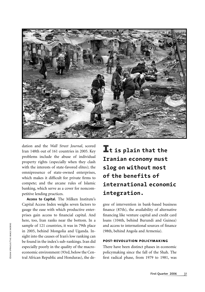

dation and the *Wall Street Journal*, scored Iran 148th out of 161 countries in 2005. Key problems include the abuse of individual property rights (especially when they clash with the interests of state-favored elites); the omnipresence of state-owned enterprises, which makes it difficult for private firms to compete; and the arcane rules of Islamic banking, which serve as a cover for noncompetitive lending practices.

**Access to Capital.** The Milken Institute's Capital Access Index weighs seven factors to gauge the ease with which productive enterprises gain access to financial capital. And here, too, Iran ranks near the bottom. In a sample of 121 countries, it was in 79th place in 2005, behind Mongolia and Uganda. Insight into the causes of Iran's low ranking can be found in the index's sub-rankings. Iran did especially poorly in the quality of the macroeconomic environment (93rd, below the Central African Republic and Honduras), the de**It is plain that the Iranian economy must slog on without most of the benefits of international economic integration.** 

gree of intervention in bank-based business finance (87th), the availability of alternative financing like venture capital and credit card loans (104th, behind Burundi and Guinea) and access to international sources of finance (98th, behind Angola and Armenia).

### **post-revolution policymaking**

There have been distinct phases in economic policymaking since the fall of the Shah. The first radical phase, from 1979 to 1981, was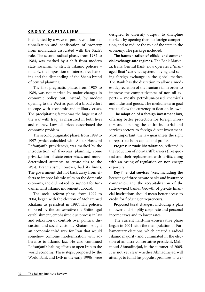highlighted by a wave of post-revolution nationalization and confiscation of property from individuals associated with the Shah's rule. The second radical phase, from 1982 to 1984, was marked by a shift from modern state socialism to strictly Islamic policies – notably, the imposition of interest-free banking and the dismantling of the Shah's brand of central planning.

The first pragmatic phase, from 1985 to 1989, was not marked by major changes in economic policy, but, instead, by modest opening to the West as part of a broad effort to cope with economic and military crises. The precipitating factor was the huge cost of the war with Iraq, as measured in both lives and money. Low oil prices exacerbated the economic problem.

The second pragmatic phase, from 1989 to 1997 (which coincided with Akbar Hashemi Rafsanjani's presidency), was marked by the introduction of five-year planning, some privatization of state enterprises, and moredetermined attempts to create ties to the West. Pragmatism, however, had its limits. The government did not back away from efforts to impose Islamic rules on the domestic economy, and did not reduce support for fundamentalist Islamic movements aboard.

The social reform phase, from 1997 to 2004, began with the election of Mohammed Khatami as president in 1997. His policies, opposed by the conservative the Shiite legal establishment, emphasized due process in law and relaxation of controls over political discussion and social customs. Khatami sought an economic third way for Iran that would somehow combine modernization with adherence to Islamic law. He also continued Rafsanjani's halting efforts to open Iran to the world economy. These steps, proposed by the World Bank and IMF in the early 1990s, were designed to diversify output, to discipline markets by opening them to foreign competition, and to reduce the role of the state in the economy. The package included:

**The harmonization of official and commercial exchange-rate regimes.** The Bank Markazi, Iran's Central Bank, now operates a "managed float" currency system, buying and selling foreign exchange in the global market. The Bank has the discretion to allow a modest depreciation of the Iranian rial in order to improve the competitiveness of non-oil exports – mostly petroleum-based chemicals and industrial goods. The medium-term goal was to allow the currency to float on its own.

**The adoption of a foreign investment law**, offering better protection for foreign investors and opening the entire industrial and services sectors to foreign direct investment. Most important, the law guarantees the right to repatriate both capital and profits.

Progress in trade liberalization, reflected in the reduction of non-tariff barriers (like quotas) and their replacement with tariffs, along with an easing of regulation on non-energy exporters.

Key financial services fixes, including the licensing of three private banks and insurance companies, and the recapitalization of the state-owned banks. Growth of private financial institutions should mean better access to credit for fledging entrepreneurs.

Proposed fiscal changes, including a plan to lower and simplify corporate and personal income taxes and to lower rates.

The current hard-line-conservative phase began in 2004 with the manipulation of Parliamentary elections, which created a radical Islamic majority and culminated in the election of an ultra-conservative president, Mahmoud Ahmadinejad, in the summer of 2005. It is not yet clear whether Ahmadinejad will attempt to fulfill his populist promises to cre-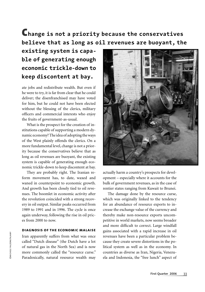### **Change is not a priority because the conservatives believe that as long as oil revenues are buoyant, the**

### **existing system is capable of generating enough economic trickle-down to keep discontent at bay.**

ate jobs and redistribute wealth. But even if he were to try, it is far from clear that he could deliver; the disenfranchised may have voted for him, but he could not have been elected without the blessing of the clerics, military officers and commercial interests who enjoy the fruits of government-as-usual.

What is the prospect for the creation of institutions capable of supporting a modern dynamic economy? The idea of adopting the ways of the West plainly offends the clerics. On a more fundamental level, change is not a priority because the conservatives believe that as long as oil revenues are buoyant, the existing system is capable of generating enough economic trickle-down to keep discontent at bay.

They are probably right. The Iranian reform movement has, to date, waxed and waned in counterpoint to economic growth. And growth has been closely tied to oil revenues. The boomlet in economic activity after the revolution coincided with a strong recovery in oil output. Similar peaks occurred from 1989 to 1991 and in 1996. The cycle is once again underway, following the rise in oil prices from 2000 to now.

### **diagnosis of the economic malaise**

Iran apparently suffers from what was once called "Dutch disease" (the Dutch have a lot of natural gas in the North Sea) and is now more commonly called the "resource curse." Paradoxically, natural resource wealth may



actually harm a country's prospects for development – especially where it accounts for the bulk of government revenues, as in the case of rentier states ranging from Kuwait to Brunei.

The damage done by the resource curse, which was originally linked to the tendency for an abundance of resource exports to increase the exchange value of the currency and thereby make non-resource exports uncompetitive in world markets, now seems broader and more difficult to correct. Large windfall gains associated with a rapid increase in oil revenues have been a particular problem because they create severe distortions in the political system as well as in the economy. In countries as diverse as Iran, Nigeria, Venezuela and Indonesia, the "free lunch" aspect of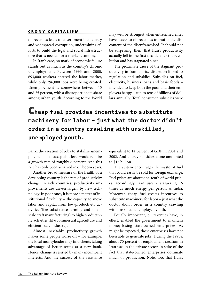oil revenues leads to government inefficiency and widespread corruption, undermining efforts to build the legal and social infrastructure that is needed for a market economy.

In Iran's case, no mark of economic failure stands out as much as the country's chronic unemployment. Between 1996 and 2000, 693,000 workers entered the labor market, while only 296,000 jobs were being created. Unemployment is somewhere between 15 and 25 percent, with a disproportionate share among urban youth. According to the World

may well be strongest when entrenched elites have access to oil revenues to muffle the discontent of the disenfranchised. It should not be surprising, then, that Iran's productivity actually fell in the first decade after the revolution and has stagnated since.

The proximate cause of the stagnant productivity in Iran is price distortion linked to regulation and subsidies. Subsidies on fuel, electricity, business loans and basic foods – intended to keep both the poor and their employers happy – run to tens of billions of dollars annually. Total consumer subsidies were

# **Cheap fuel provides incentives to substitute machinery for labor – just what the doctor didn't order in a country crawling with unskilled, unemployed youth.**

Bank, the creation of jobs to stabilize unemployment at an acceptable level would require a growth rate of roughly 6 percent. And this rate has only been achieved in oil boom years.

Another broad measure of the health of a developing country is the rate of productivity change. In rich countries, productivity improvements are driven largely by new technology. In poor ones, it is more a matter of institutional fl exibility – the capacity to move labor and capital from low-productivity activities (like subsistence farming and smallscale craft manufacturing) to high-productivity activities (like commercial agriculture and efficient-scale industry).

Almost inevitably, productivity growth makes some people worse off – for example, the local moneylender may find clients taking advantage of better terms at a new bank. Hence, change is resisted by many incumbent interests. And the success of the resistance equivalent to 14 percent of GDP in 2001 and 2002. And energy subsidies alone amounted to \$16 billion.

The system encourages the waste of fuel that could easily be sold for foreign exchange. Fuel prices are about one-tenth of world prices; accordingly, Iran uses a staggering 16 times as much energy per person as India. Moreover, cheap fuel creates incentives to substitute machinery for labor – just what the doctor didn't order in a country crawling with unskilled, unemployed youth.

Equally important, oil revenues have, in effect, enabled the government to maintain money-losing state-owned enterprises. As might be expected, those enterprises have not been able to generate jobs. During the 1990s, about 70 percent of employment creation in Iran was in the private sector, in spite of the fact that state-owned enterprises dominate much of production. Note, too, that Iran's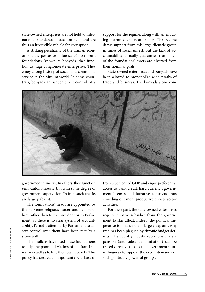state-owned enterprises are not held to international standards of accounting – and are thus an irresistible vehicle for corruption.

A striking peculiarity of the Iranian economy is the pervasive influence of non-profit foundations, known as bonyads, that function as huge conglomerate enterprises. They enjoy a long history of social and communal service in the Muslim world. In some countries, bonyads are under direct control of a

support for the regime, along with an enduring patron-client relationship. The regime draws support from this large clientele group in times of social unrest. But the lack of accountability virtually guarantees that much of the foundations' assets are diverted from their nominal goals.

State-owned enterprises and bonyads have been allowed to monopolize wide swaths of trade and business. The bonyads alone con-



government ministry. In others, they function semi-autonomously, but with some degree of government supervision. In Iran, such checks are largely absent.

The foundations' heads are appointed by the supreme religious leader and report to him rather than to the president or to Parliament. So there is no clear system of accountability. Periodic attempts by Parliament to assert control over them have been met by a stone wall.

The mullahs have used these foundations to help the poor and victims of the Iran-Iraq war – as well as to line their own pockets. This policy has created an important social base of trol 25 percent of GDP and enjoy preferential access to bank credit, hard currency, government licenses and lucrative contracts, thus crowding out more productive private sector activities.

For their part, the state-owned enterprises require massive subsidies from the government to stay afloat. Indeed, the political imperative to finance them largely explains why Iran has been plagued by chronic budget deficits. The country's post-1980 monetary expansion (and subsequent inflation) can be traced directly back to the government's unwillingness to oppose the credit demands of such politically powerful groups.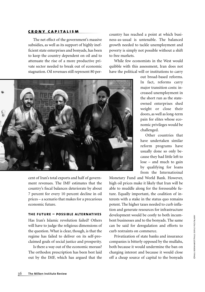The net effect of the government's massive subsidies, as well as its support of highly inefficient state enterprises and bonyads, has been to keep the country dependent on oil and to attenuate the rise of a more productive private sector needed to break out of economic stagnation. Oil revenues still represent 80 percountry has reached a point at which business-as-usual is untenable. The balanced growth needed to tackle unemployment and poverty is simply not possible without a shift to free markets.

While few economists in the West would quibble with this assessment, Iran does not have the political will or institutions to carry



cent of Iran's total exports and half of government revenues. The IMF estimates that the country's fiscal balances deteriorate by about 7 percent for every 10 percent decline in oil prices – a scenario that makes for a precarious economic future.

### **the future – possible alternatives**

Has Iran's Islamic revolution failed? Others will have to judge the religious dimensions of the question. What is clear, though, is that the regime has failed to deliver on its self-proclaimed goals of social justice and prosperity.

Is there a way out of the economic morass? The orthodox prescription has been best laid out by the IMF, which has argued that the

out broad-based reforms. In fact, reforms carry major transition costs: increased unemployment in the short run as the stateowned enterprises shed weight or close their doors, as well as long-term pain for elites whose economic privileges would be challenged.

Other countries that have undertaken similar reform programs have usually done so only because they had little left to lose – and much to gain by qualifying for loans from the Internatioinal

Monetary Fund and World Bank. However, high oil prices make it likely that Iran will be able to muddle along for the foreseeable future. Equally important, the coalition of interests with a stake in the status quo remains potent. The higher taxes needed to curb inflation and generate resources for infrastructure development would be costly to both incumbent businesses and to the bonyads. The same can be said for deregulation and efforts to curb restraints on commerce.

Privatization of state banks and insurance companies is bitterly opposed by the mullahs, both because it would undermine the ban on charging interest and because it would close bent businesses and to the bonyads. The same<br>can be said for deregulation and efforts to<br>curb restraints on commerce.<br>Privatization of state banks and insurance<br>companies is bitterly opposed by the mullahs,<br>both because it